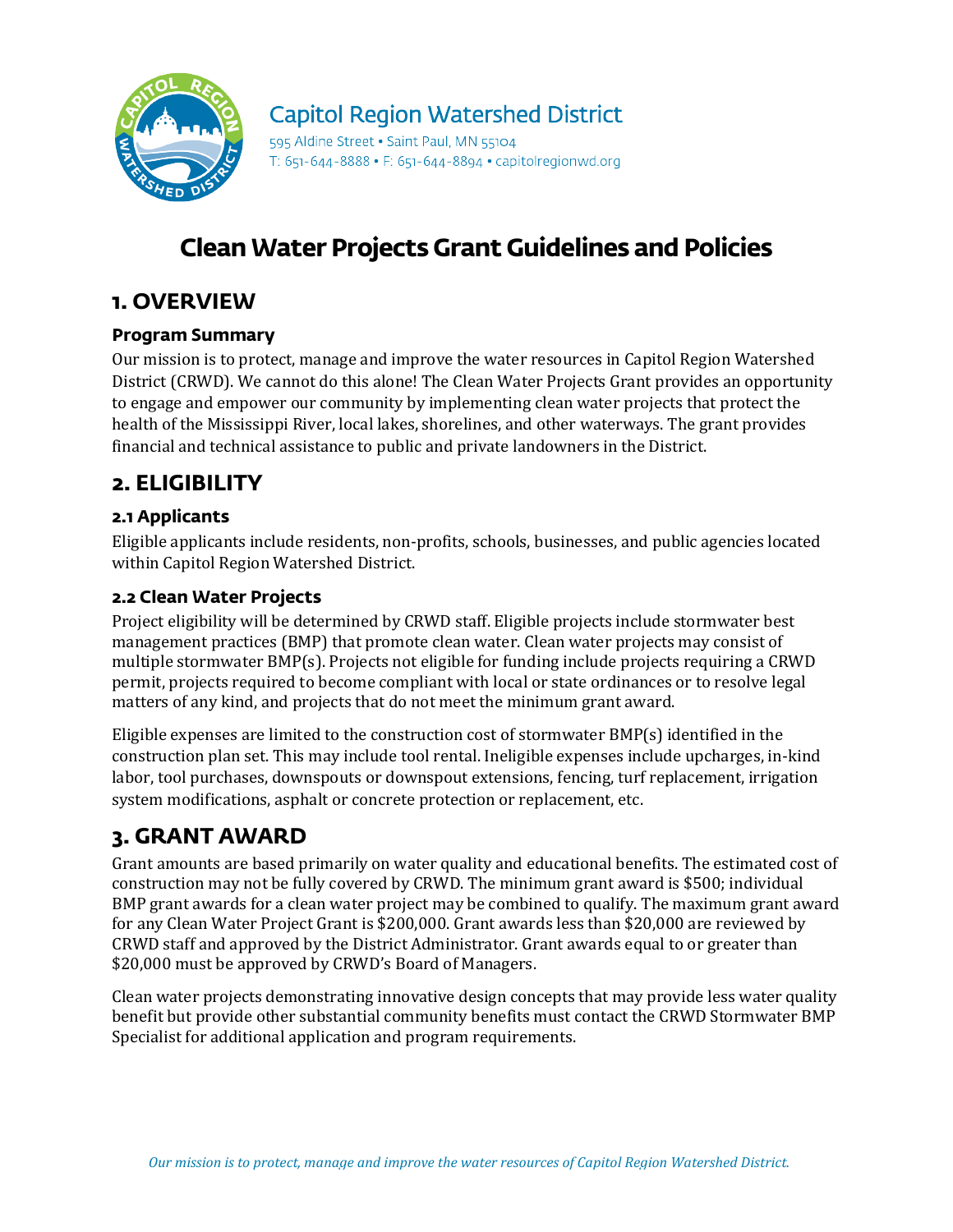

# **Capitol Region Watershed District**

595 Aldine Street . Saint Paul, MN 55104 T: 651-644-8888 • F: 651-644-8894 • capitolregionwd.org

# **Clean Water Projects Grant Guidelines and Policies**

## **1. OVERVIEW**

### **Program Summary**

Our mission is to protect, manage and improve the water resources in Capitol Region Watershed District (CRWD). We cannot do this alone! The Clean Water Projects Grant provides an opportunity to engage and empower our community by implementing clean water projects that protect the health of the Mississippi River, local lakes, shorelines, and other waterways. The grant provides financial and technical assistance to public and private landowners in the District.

## **2. ELIGIBILITY**

### **2.1 Applicants**

Eligible applicants include residents, non-profits, schools, businesses, and public agencies located within Capitol Region Watershed District.

### **2.2 Clean Water Projects**

Project eligibility will be determined by CRWD staff. Eligible projects include stormwater best management practices (BMP) that promote clean water. Clean water projects may consist of multiple stormwater BMP(s). Projects not eligible for funding include projects requiring a CRWD permit, projects required to become compliant with local or state ordinances or to resolve legal matters of any kind, and projects that do not meet the minimum grant award.

Eligible expenses are limited to the construction cost of stormwater BMP(s) identified in the construction plan set. This may include tool rental. Ineligible expenses include upcharges, in-kind labor, tool purchases, downspouts or downspout extensions, fencing, turf replacement, irrigation system modifications, asphalt or concrete protection or replacement, etc.

# **3. GRANT AWARD**

Grant amounts are based primarily on water quality and educational benefits. The estimated cost of construction may not be fully covered by CRWD. The minimum grant award is \$500; individual BMP grant awards for a clean water project may be combined to qualify. The maximum grant award for any Clean Water Project Grant is \$200,000. Grant awards less than \$20,000 are reviewed by CRWD staff and approved by the District Administrator. Grant awards equal to or greater than \$20,000 must be approved by CRWD's Board of Managers.

Clean water projects demonstrating innovative design concepts that may provide less water quality benefit but provide other substantial community benefits must contact the CRWD Stormwater BMP Specialist for additional application and program requirements.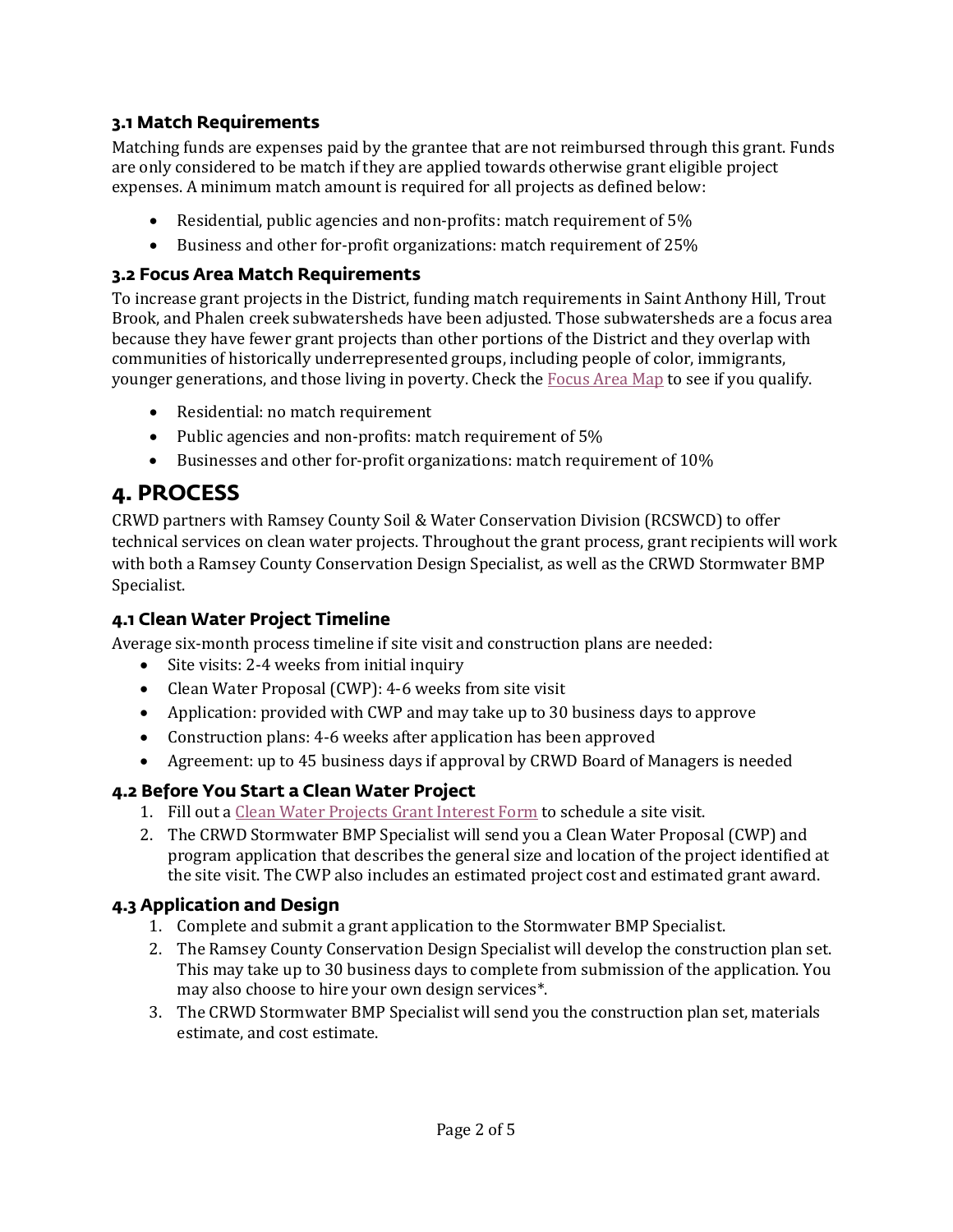#### **3.1 Match Requirements**

Matching funds are expenses paid by the grantee that are not reimbursed through this grant. Funds are only considered to be match if they are applied towards otherwise grant eligible project expenses. A minimum match amount is required for all projects as defined below:

- Residential, public agencies and non-profits: match requirement of 5%
- Business and other for-profit organizations: match requirement of 25%

#### **3.2 Focus Area Match Requirements**

To increase grant projects in the District, funding match requirements in Saint Anthony Hill, Trout Brook, and Phalen creek subwatersheds have been adjusted. Those subwatersheds are a focus area because they have fewer grant projects than other portions of the District and they overlap with communities of historically underrepresented groups, including people of color, immigrants, younger generations, and those living in poverty. Check the [Focus Area Map](https://crwd.maps.arcgis.com/apps/instant/lookup/index.html?appid=87176fca6838447f875c39a76126f9a6) to see if you qualify.

- Residential: no match requirement
- Public agencies and non-profits: match requirement of 5%
- Businesses and other for-profit organizations: match requirement of 10%

## **4. PROCESS**

CRWD partners with Ramsey County Soil & Water Conservation Division (RCSWCD) to offer technical services on clean water projects. Throughout the grant process, grant recipients will work with both a Ramsey County Conservation Design Specialist, as well as the CRWD Stormwater BMP Specialist.

#### **4.1 Clean Water Project Timeline**

Average six-month process timeline if site visit and construction plans are needed:

- Site visits: 2-4 weeks from initial inquiry
- Clean Water Proposal (CWP): 4-6 weeks from site visit
- Application: provided with CWP and may take up to 30 business days to approve
- Construction plans: 4-6 weeks after application has been approved
- Agreement: up to 45 business days if approval by CRWD Board of Managers is needed

#### **4.2 Before You Start a Clean Water Project**

- 1. Fill out a [Clean Water Projects](https://crwd.ms4front.net/stewardshipgrant/) Grant Interest Form to schedule a site visit.
- 2. The CRWD Stormwater BMP Specialist will send you a Clean Water Proposal (CWP) and program application that describes the general size and location of the project identified at the site visit. The CWP also includes an estimated project cost and estimated grant award.

#### **4.3 Application and Design**

- 1. Complete and submit a grant application to the Stormwater BMP Specialist.
- 2. The Ramsey County Conservation Design Specialist will develop the construction plan set. This may take up to 30 business days to complete from submission of the application. You may also choose to hire your own design services\*.
- 3. The CRWD Stormwater BMP Specialist will send you the construction plan set, materials estimate, and cost estimate.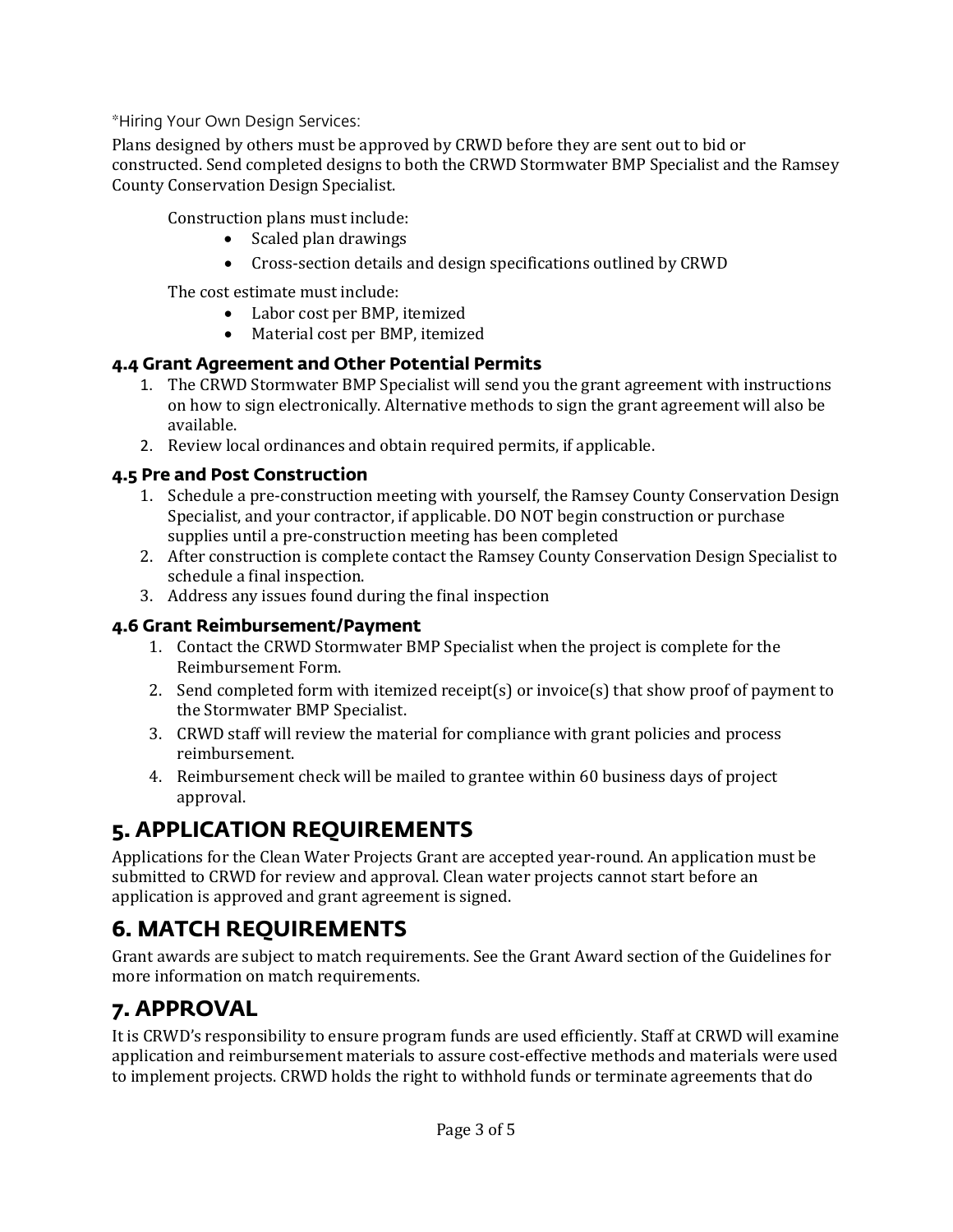\*Hiring Your Own Design Services:

Plans designed by others must be approved by CRWD before they are sent out to bid or constructed. Send completed designs to both the CRWD Stormwater BMP Specialist and the Ramsey County Conservation Design Specialist.

Construction plans must include:

- Scaled plan drawings
- Cross-section details and design specifications outlined by CRWD

The cost estimate must include:

- Labor cost per BMP, itemized<br>• Material cost per BMP, itemize
- Material cost per BMP, itemized

#### **4.4 Grant Agreement and Other Potential Permits**

- 1. The CRWD Stormwater BMP Specialist will send you the grant agreement with instructions on how to sign electronically. Alternative methods to sign the grant agreement will also be available.
- 2. Review local ordinances and obtain required permits, if applicable.

### **4.5 Pre and Post Construction**

- 1. Schedule a pre-construction meeting with yourself, the Ramsey County Conservation Design Specialist, and your contractor, if applicable. DO NOT begin construction or purchase supplies until a pre-construction meeting has been completed
- 2. After construction is complete contact the Ramsey County Conservation Design Specialist to schedule a final inspection.
- 3. Address any issues found during the final inspection

#### **4.6 Grant Reimbursement/Payment**

- 1. Contact the CRWD Stormwater BMP Specialist when the project is complete for the Reimbursement Form.
- 2. Send completed form with itemized receipt(s) or invoice(s) that show proof of payment to the Stormwater BMP Specialist.
- 3. CRWD staff will review the material for compliance with grant policies and process reimbursement.
- 4. Reimbursement check will be mailed to grantee within 60 business days of project approval.

# **5. APPLICATION REQUIREMENTS**

Applications for the Clean Water Projects Grant are accepted year-round. An application must be submitted to CRWD for review and approval. Clean water projects cannot start before an application is approved and grant agreement is signed.

## **6. MATCH REQUIREMENTS**

Grant awards are subject to match requirements. See the Grant Award section of the Guidelines for more information on match requirements.

## **7. APPROVAL**

It is CRWD's responsibility to ensure program funds are used efficiently. Staff at CRWD will examine application and reimbursement materials to assure cost-effective methods and materials were used to implement projects. CRWD holds the right to withhold funds or terminate agreements that do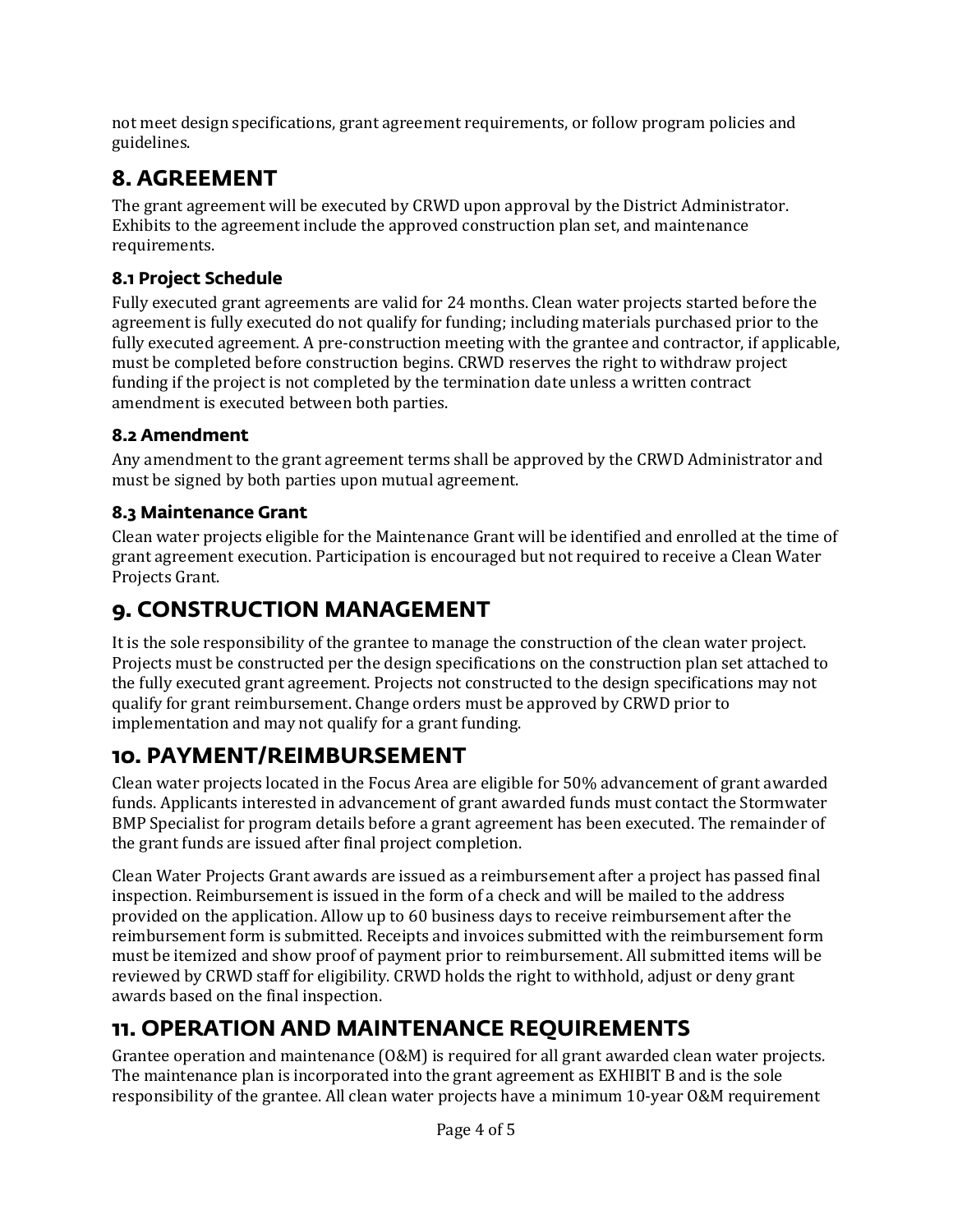not meet design specifications, grant agreement requirements, or follow program policies and guidelines.

# **8. AGREEMENT**

The grant agreement will be executed by CRWD upon approval by the District Administrator. Exhibits to the agreement include the approved construction plan set, and maintenance requirements.

## **8.1 Project Schedule**

Fully executed grant agreements are valid for 24 months. Clean water projects started before the agreement is fully executed do not qualify for funding; including materials purchased prior to the fully executed agreement. A pre-construction meeting with the grantee and contractor, if applicable, must be completed before construction begins. CRWD reserves the right to withdraw project funding if the project is not completed by the termination date unless a written contract amendment is executed between both parties.

### **8.2 Amendment**

Any amendment to the grant agreement terms shall be approved by the CRWD Administrator and must be signed by both parties upon mutual agreement.

### **8.3 Maintenance Grant**

Clean water projects eligible for the Maintenance Grant will be identified and enrolled at the time of grant agreement execution. Participation is encouraged but not required to receive a Clean Water Projects Grant.

# **9. CONSTRUCTION MANAGEMENT**

It is the sole responsibility of the grantee to manage the construction of the clean water project. Projects must be constructed per the design specifications on the construction plan set attached to the fully executed grant agreement. Projects not constructed to the design specifications may not qualify for grant reimbursement. Change orders must be approved by CRWD prior to implementation and may not qualify for a grant funding.

# **10. PAYMENT/REIMBURSEMENT**

Clean water projects located in the Focus Area are eligible for 50% advancement of grant awarded funds. Applicants interested in advancement of grant awarded funds must contact the Stormwater BMP Specialist for program details before a grant agreement has been executed. The remainder of the grant funds are issued after final project completion.

Clean Water Projects Grant awards are issued as a reimbursement after a project has passed final inspection. Reimbursement is issued in the form of a check and will be mailed to the address provided on the application. Allow up to 60 business days to receive reimbursement after the reimbursement form is submitted. Receipts and invoices submitted with the reimbursement form must be itemized and show proof of payment prior to reimbursement. All submitted items will be reviewed by CRWD staff for eligibility. CRWD holds the right to withhold, adjust or deny grant awards based on the final inspection.

# **11. OPERATION AND MAINTENANCE REQUIREMENTS**

Grantee operation and maintenance (O&M) is required for all grant awarded clean water projects. The maintenance plan is incorporated into the grant agreement as EXHIBIT B and is the sole responsibility of the grantee. All clean water projects have a minimum 10-year O&M requirement